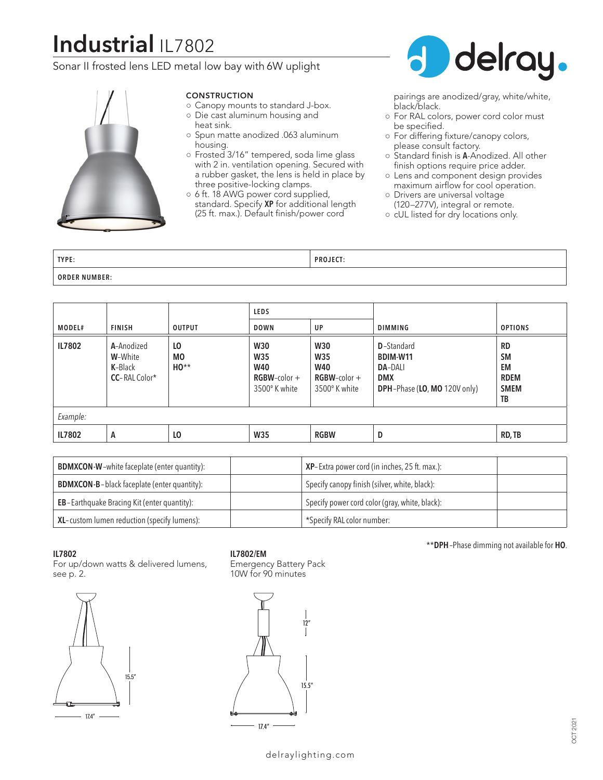# **Industrial** IL7802

### Sonar II frosted lens LED metal low bay with 6W uplight



#### CONSTRUCTION

- Canopy mounts to standard J-box. ○ Die cast aluminum housing and
- heat sink.
- Spun matte anodized .063 aluminum housing.
- Frosted 3/16" tempered, soda lime glass with 2 in. ventilation opening. Secured with a rubber gasket, the lens is held in place by three positive-locking clamps.
- 6 ft. 18 AWG power cord supplied, standard. Specify **XP** for additional length (25 ft. max.). Default finish/power cord



pairings are anodized/gray, white/white, black/black.

- For RAL colors, power cord color must be specified.
- For differing fixture/canopy colors, please consult factory.
- Standard finish is **A**-Anodized. All other finish options require price adder.
- Lens and component design provides maximum airflow for cool operation.
- Drivers are universal voltage (120–277V), integral or remote.
- cUL listed for dry locations only.

| TYPE:                   | $- - -$<br>D <sub>D</sub><br>. |
|-------------------------|--------------------------------|
| <b>ORDER</b><br>NUMBER: |                                |

|          |                                                   |                     | <b>LEDS</b>                                                                |                                                                              |                                                                                                |                                                                  |
|----------|---------------------------------------------------|---------------------|----------------------------------------------------------------------------|------------------------------------------------------------------------------|------------------------------------------------------------------------------------------------|------------------------------------------------------------------|
| MODEL#   | <b>FINISH</b>                                     | <b>OUTPUT</b>       | <b>DOWN</b>                                                                | UP                                                                           | <b>DIMMING</b>                                                                                 | <b>OPTIONS</b>                                                   |
| IL7802   | A-Anodized<br>W-White<br>K-Black<br>CC-RAL Color* | LO<br>MO.<br>$HO**$ | <b>W30</b><br><b>W35</b><br><b>W40</b><br>$RGBW$ -color +<br>3500° K white | <b>W30</b><br><b>W35</b><br><b>W40</b><br>$RGBW$ -color $+$<br>3500° K white | <b>D</b> -Standard<br>BDIM-W11<br><b>DA-DALI</b><br><b>DMX</b><br>DPH-Phase (LO, MO 120V only) | <b>RD</b><br><b>SM</b><br>EM<br><b>RDEM</b><br><b>SMEM</b><br>TB |
| Example: |                                                   |                     |                                                                            |                                                                              |                                                                                                |                                                                  |
| IL7802   | A                                                 | LO                  | <b>W35</b>                                                                 | <b>RGBW</b>                                                                  | D                                                                                              | RD, TB                                                           |

| <b>BDMXCON-W-white faceplate (enter quantity):</b>  | XP-Extra power cord (in inches, 25 ft. max.):  |
|-----------------------------------------------------|------------------------------------------------|
| <b>BDMXCON-B-black faceplate (enter quantity):</b>  | Specify canopy finish (silver, white, black):  |
| <b>EB</b> -Earthquake Bracing Kit (enter quantity): | Specify power cord color (gray, white, black): |
| XL-custom lumen reduction (specify lumens):         | *Specify RAL color number:                     |

#### **IL7802**

For up/down watts & delivered lumens, see p. 2.



**IL7802/EM**

Emergency Battery Pack 10W for 90 minutes



\*\***DPH**–Phase dimming not available for **HO**.